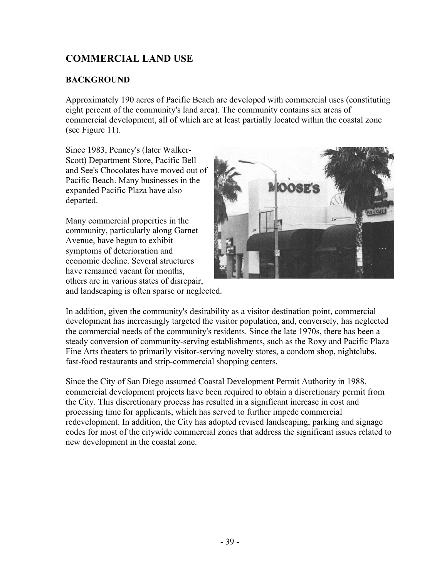# **COMMERCIAL LAND USE**

# **BACKGROUND**

Approximately 190 acres of Pacific Beach are developed with commercial uses (constituting eight percent of the community's land area). The community contains six areas of commercial development, all of which are at least partially located within the coastal zone (see Figure 11).

Since 1983, Penney's (later Walker-Scott) Department Store, Pacific Bell and See's Chocolates have moved out of Pacific Beach. Many businesses in the expanded Pacific Plaza have also departed.

Many commercial properties in the community, particularly along Garnet Avenue, have begun to exhibit symptoms of deterioration and economic decline. Several structures have remained vacant for months, others are in various states of disrepair, and landscaping is often sparse or neglected.



In addition, given the community's desirability as a visitor destination point, commercial development has increasingly targeted the visitor population, and, conversely, has neglected the commercial needs of the community's residents. Since the late 1970s, there has been a steady conversion of community-serving establishments, such as the Roxy and Pacific Plaza Fine Arts theaters to primarily visitor-serving novelty stores, a condom shop, nightclubs, fast-food restaurants and strip-commercial shopping centers.

Since the City of San Diego assumed Coastal Development Permit Authority in 1988, commercial development projects have been required to obtain a discretionary permit from the City. This discretionary process has resulted in a significant increase in cost and processing time for applicants, which has served to further impede commercial redevelopment. In addition, the City has adopted revised landscaping, parking and signage codes for most of the citywide commercial zones that address the significant issues related to new development in the coastal zone.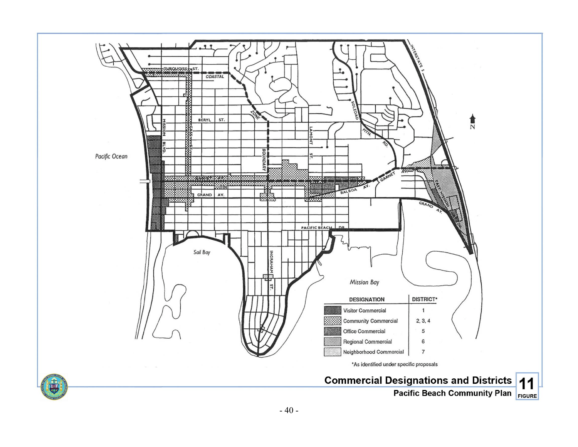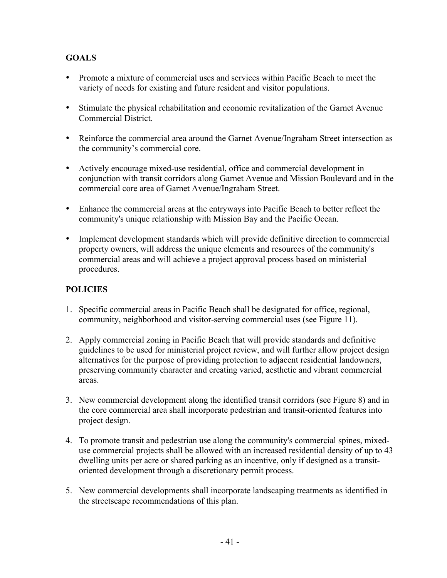# **GOALS**

- Promote a mixture of commercial uses and services within Pacific Beach to meet the variety of needs for existing and future resident and visitor populations.
- Stimulate the physical rehabilitation and economic revitalization of the Garnet Avenue Commercial District.
- Reinforce the commercial area around the Garnet Avenue/Ingraham Street intersection as the community's commercial core.
- Actively encourage mixed-use residential, office and commercial development in conjunction with transit corridors along Garnet Avenue and Mission Boulevard and in the commercial core area of Garnet Avenue/Ingraham Street.
- Enhance the commercial areas at the entryways into Pacific Beach to better reflect the community's unique relationship with Mission Bay and the Pacific Ocean.
- Implement development standards which will provide definitive direction to commercial property owners, will address the unique elements and resources of the community's commercial areas and will achieve a project approval process based on ministerial procedures.

# **POLICIES**

- 1. Specific commercial areas in Pacific Beach shall be designated for office, regional, community, neighborhood and visitor-serving commercial uses (see Figure 11).
- 2. Apply commercial zoning in Pacific Beach that will provide standards and definitive guidelines to be used for ministerial project review, and will further allow project design alternatives for the purpose of providing protection to adjacent residential landowners, preserving community character and creating varied, aesthetic and vibrant commercial areas.
- 3. New commercial development along the identified transit corridors (see Figure 8) and in the core commercial area shall incorporate pedestrian and transit-oriented features into project design.
- 4. To promote transit and pedestrian use along the community's commercial spines, mixeduse commercial projects shall be allowed with an increased residential density of up to 43 dwelling units per acre or shared parking as an incentive, only if designed as a transitoriented development through a discretionary permit process.
- 5. New commercial developments shall incorporate landscaping treatments as identified in the streetscape recommendations of this plan.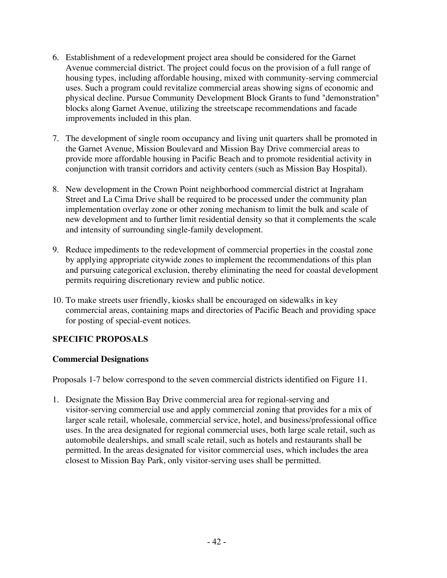- 6. Establishment of a redevelopment project area should be considered for the Garnet Avenue commercial district. The project could focus on the provision of a full range of housing types, including affordable housing, mixed with community-serving commercial uses. Such a program could revitalize commercial areas showing signs of economic and physical decline. Pursue Community Development Block Grants to fund "demonstration" blocks along Garnet Avenue, utilizing the streetscape recommendations and facade improvements included in this plan.
- 7. The development of single room occupancy and living unit quarters shall be promoted in the Garnet Avenue, Mission Boulevard and Mission Bay Drive commercial areas to provide more affordable housing in Pacific Beach and to promote residential activity in conjunction with transit corridors and activity centers (such as Mission Bay Hospital).
- 8. New development in the Crown Point neighborhood commercial district at Ingraham Street and La Cima Drive shall be required to be processed under the community plan implementation overlay zone or other zoning mechanism to limit the bulk and scale of new development and to further limit residential density so that it complements the scale and intensity of surrounding single-family development.
- 9. Reduce impediments to the redevelopment of commercial properties in the coastal zone by applying appropriate citywide zones to implement the recommendations of this plan and pursuing categorical exclusion, thereby eliminating the need for coastal development permits requiring discretionary review and public notice.
- 10. To make streets user friendly, kiosks shall be encouraged on sidewalks in key commercial areas, containing maps and directories of Pacific Beach and providing space for posting of special-event notices.

# **SPECIFIC PROPOSALS**

#### **Commercial Designations**

Proposals 1-7 below correspond to the seven commercial districts identified on Figure 11.

1. Designate the Mission Bay Drive commercial area for regional-serving and visitor-serving commercial use and apply commercial zoning that provides for a mix of larger scale retail, wholesale, commercial service, hotel, and business/professional office uses. In the area designated for regional commercial uses, both large scale retail, such as automobile dealerships, and small scale retail, such as hotels and restaurants shall be permitted. In the areas designated for visitor commercial uses, which includes the area closest to Mission Bay Park, only visitor-serving uses shall be permitted.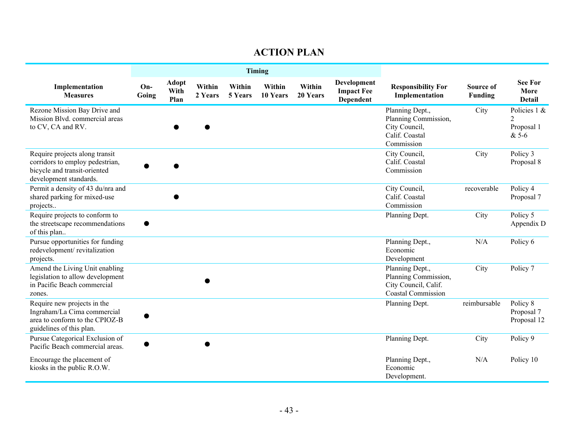# **ACTION PLAN**

|                                                                                                                             | <b>Timing</b> |                              |                   |                   |                    |                    |                                                      |                                                                                              |                      |                                                       |
|-----------------------------------------------------------------------------------------------------------------------------|---------------|------------------------------|-------------------|-------------------|--------------------|--------------------|------------------------------------------------------|----------------------------------------------------------------------------------------------|----------------------|-------------------------------------------------------|
| Implementation<br><b>Measures</b>                                                                                           | On-<br>Going  | <b>Adopt</b><br>With<br>Plan | Within<br>2 Years | Within<br>5 Years | Within<br>10 Years | Within<br>20 Years | <b>Development</b><br><b>Impact Fee</b><br>Dependent | <b>Responsibility For</b><br>Implementation                                                  | Source of<br>Funding | <b>See For</b><br>More<br><b>Detail</b>               |
| Rezone Mission Bay Drive and<br>Mission Blvd. commercial areas<br>to CV, CA and RV.                                         |               |                              |                   |                   |                    |                    |                                                      | Planning Dept.,<br>Planning Commission,<br>City Council,<br>Calif. Coastal<br>Commission     | City                 | Policies 1 &<br>$\mathfrak{D}$<br>Proposal 1<br>& 5-6 |
| Require projects along transit<br>corridors to employ pedestrian,<br>bicycle and transit-oriented<br>development standards. |               |                              |                   |                   |                    |                    |                                                      | City Council,<br>Calif. Coastal<br>Commission                                                | City                 | Policy 3<br>Proposal 8                                |
| Permit a density of 43 du/nra and<br>shared parking for mixed-use<br>projects                                               |               |                              |                   |                   |                    |                    |                                                      | City Council,<br>Calif. Coastal<br>Commission                                                | recoverable          | Policy 4<br>Proposal 7                                |
| Require projects to conform to<br>the streetscape recommendations<br>of this plan                                           |               |                              |                   |                   |                    |                    |                                                      | Planning Dept.                                                                               | City                 | Policy 5<br>Appendix D                                |
| Pursue opportunities for funding<br>redevelopment/revitalization<br>projects.                                               |               |                              |                   |                   |                    |                    |                                                      | Planning Dept.,<br>Economic<br>Development                                                   | N/A                  | Policy 6                                              |
| Amend the Living Unit enabling<br>legislation to allow development<br>in Pacific Beach commercial<br>zones.                 |               |                              |                   |                   |                    |                    |                                                      | Planning Dept.,<br>Planning Commission,<br>City Council, Calif.<br><b>Coastal Commission</b> | City                 | Policy 7                                              |
| Require new projects in the<br>Ingraham/La Cima commercial<br>area to conform to the CPIOZ-B<br>guidelines of this plan.    |               |                              |                   |                   |                    |                    |                                                      | Planning Dept.                                                                               | reimbursable         | Policy 8<br>Proposal 7<br>Proposal 12                 |
| Pursue Categorical Exclusion of<br>Pacific Beach commercial areas.                                                          |               |                              |                   |                   |                    |                    |                                                      | Planning Dept.                                                                               | City                 | Policy 9                                              |
| Encourage the placement of<br>kiosks in the public R.O.W.                                                                   |               |                              |                   |                   |                    |                    |                                                      | Planning Dept.,<br>Economic<br>Development.                                                  | N/A                  | Policy 10                                             |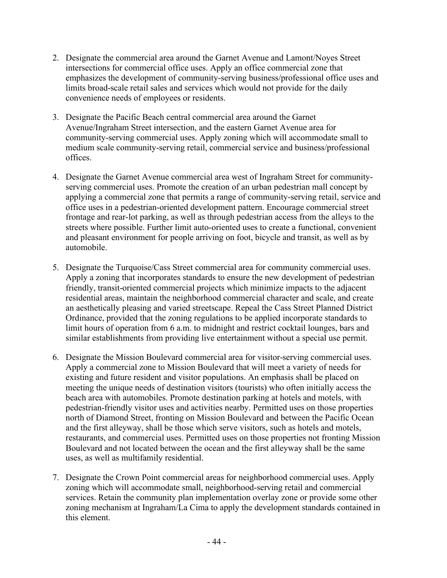- 2. Designate the commercial area around the Garnet Avenue and Lamont/Noyes Street intersections for commercial office uses. Apply an office commercial zone that emphasizes the development of community-serving business/professional office uses and limits broad-scale retail sales and services which would not provide for the daily convenience needs of employees or residents.
- 3. Designate the Pacific Beach central commercial area around the Garnet Avenue/Ingraham Street intersection, and the eastern Garnet Avenue area for community-serving commercial uses. Apply zoning which will accommodate small to medium scale community-serving retail, commercial service and business/professional offices.
- 4. Designate the Garnet Avenue commercial area west of Ingraham Street for communityserving commercial uses. Promote the creation of an urban pedestrian mall concept by applying a commercial zone that permits a range of community-serving retail, service and office uses in a pedestrian-oriented development pattern. Encourage commercial street frontage and rear-lot parking, as well as through pedestrian access from the alleys to the streets where possible. Further limit auto-oriented uses to create a functional, convenient and pleasant environment for people arriving on foot, bicycle and transit, as well as by automobile.
- 5. Designate the Turquoise/Cass Street commercial area for community commercial uses. Apply a zoning that incorporates standards to ensure the new development of pedestrian friendly, transit-oriented commercial projects which minimize impacts to the adjacent residential areas, maintain the neighborhood commercial character and scale, and create an aesthetically pleasing and varied streetscape. Repeal the Cass Street Planned District Ordinance, provided that the zoning regulations to be applied incorporate standards to limit hours of operation from 6 a.m. to midnight and restrict cocktail lounges, bars and similar establishments from providing live entertainment without a special use permit.
- 6. Designate the Mission Boulevard commercial area for visitor-serving commercial uses. Apply a commercial zone to Mission Boulevard that will meet a variety of needs for existing and future resident and visitor populations. An emphasis shall be placed on meeting the unique needs of destination visitors (tourists) who often initially access the beach area with automobiles. Promote destination parking at hotels and motels, with pedestrian-friendly visitor uses and activities nearby. Permitted uses on those properties north of Diamond Street, fronting on Mission Boulevard and between the Pacific Ocean and the first alleyway, shall be those which serve visitors, such as hotels and motels, restaurants, and commercial uses. Permitted uses on those properties not fronting Mission Boulevard and not located between the ocean and the first alleyway shall be the same uses, as well as multifamily residential.
- 7. Designate the Crown Point commercial areas for neighborhood commercial uses. Apply zoning which will accommodate small, neighborhood-serving retail and commercial services. Retain the community plan implementation overlay zone or provide some other zoning mechanism at Ingraham/La Cima to apply the development standards contained in this element.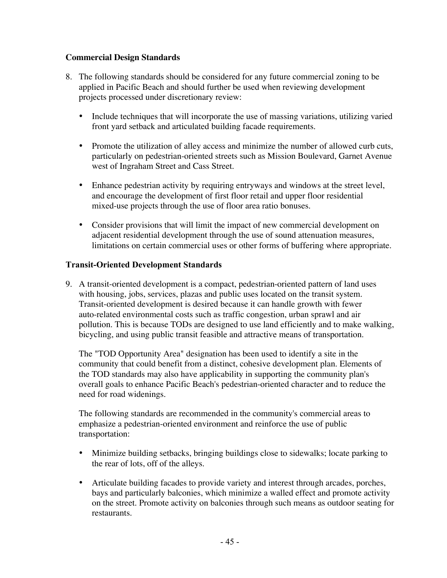#### **Commercial Design Standards**

- 8. The following standards should be considered for any future commercial zoning to be applied in Pacific Beach and should further be used when reviewing development projects processed under discretionary review:
	- Include techniques that will incorporate the use of massing variations, utilizing varied front yard setback and articulated building facade requirements.
	- Promote the utilization of alley access and minimize the number of allowed curb cuts, particularly on pedestrian-oriented streets such as Mission Boulevard, Garnet Avenue west of Ingraham Street and Cass Street.
	- Enhance pedestrian activity by requiring entryways and windows at the street level, and encourage the development of first floor retail and upper floor residential mixed-use projects through the use of floor area ratio bonuses.
	- Consider provisions that will limit the impact of new commercial development on adjacent residential development through the use of sound attenuation measures, limitations on certain commercial uses or other forms of buffering where appropriate.

#### **Transit-Oriented Development Standards**

9. A transit-oriented development is a compact, pedestrian-oriented pattern of land uses with housing, jobs, services, plazas and public uses located on the transit system. Transit-oriented development is desired because it can handle growth with fewer auto-related environmental costs such as traffic congestion, urban sprawl and air pollution. This is because TODs are designed to use land efficiently and to make walking, bicycling, and using public transit feasible and attractive means of transportation.

The "TOD Opportunity Area" designation has been used to identify a site in the community that could benefit from a distinct, cohesive development plan. Elements of the TOD standards may also have applicability in supporting the community plan's overall goals to enhance Pacific Beach's pedestrian-oriented character and to reduce the need for road widenings.

The following standards are recommended in the community's commercial areas to emphasize a pedestrian-oriented environment and reinforce the use of public transportation:

- Minimize building setbacks, bringing buildings close to sidewalks; locate parking to the rear of lots, off of the alleys.
- Articulate building facades to provide variety and interest through arcades, porches, bays and particularly balconies, which minimize a walled effect and promote activity on the street. Promote activity on balconies through such means as outdoor seating for restaurants.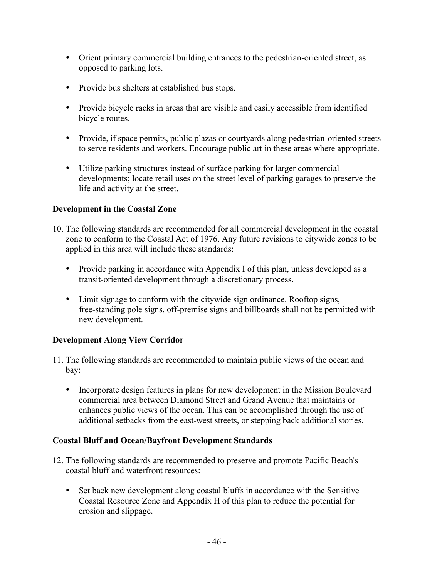- Orient primary commercial building entrances to the pedestrian-oriented street, as opposed to parking lots.
- Provide bus shelters at established bus stops.
- Provide bicycle racks in areas that are visible and easily accessible from identified bicycle routes.
- Provide, if space permits, public plazas or courtyards along pedestrian-oriented streets to serve residents and workers. Encourage public art in these areas where appropriate.
- Utilize parking structures instead of surface parking for larger commercial developments; locate retail uses on the street level of parking garages to preserve the life and activity at the street.

# **Development in the Coastal Zone**

- 10. The following standards are recommended for all commercial development in the coastal zone to conform to the Coastal Act of 1976. Any future revisions to citywide zones to be applied in this area will include these standards:
	- Provide parking in accordance with Appendix I of this plan, unless developed as a transit-oriented development through a discretionary process.
	- Limit signage to conform with the citywide sign ordinance. Rooftop signs, free-standing pole signs, off-premise signs and billboards shall not be permitted with new development.

# **Development Along View Corridor**

- 11. The following standards are recommended to maintain public views of the ocean and bay:
	- Incorporate design features in plans for new development in the Mission Boulevard commercial area between Diamond Street and Grand Avenue that maintains or enhances public views of the ocean. This can be accomplished through the use of additional setbacks from the east-west streets, or stepping back additional stories.

# **Coastal Bluff and Ocean/Bayfront Development Standards**

- 12. The following standards are recommended to preserve and promote Pacific Beach's coastal bluff and waterfront resources:
	- Set back new development along coastal bluffs in accordance with the Sensitive Coastal Resource Zone and Appendix H of this plan to reduce the potential for erosion and slippage.